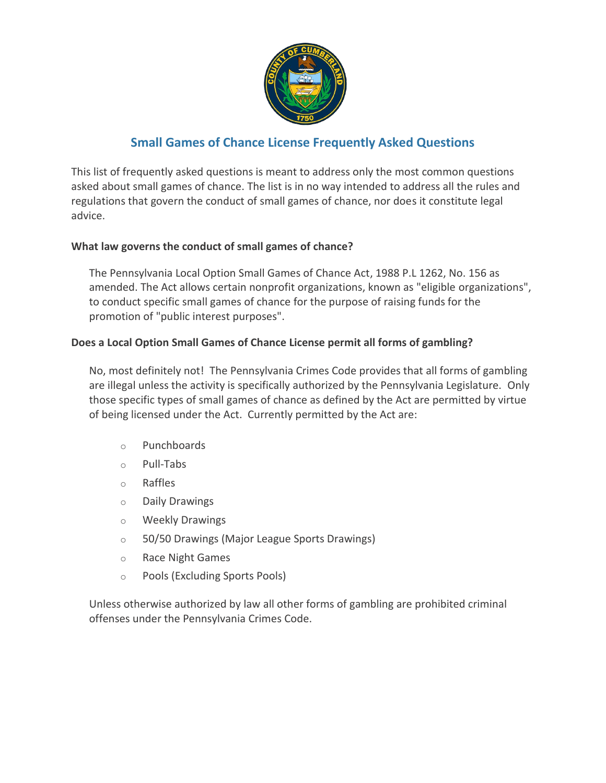

# **Small Games of Chance License Frequently Asked Questions**

This list of frequently asked questions is meant to address only the most common questions asked about small games of chance. The list is in no way intended to address all the rules and regulations that govern the conduct of small games of chance, nor does it constitute legal advice.

# **What law governs the conduct of small games of chance?**

The Pennsylvania Local Option Small Games of Chance Act, 1988 P.L 1262, No. 156 as amended. The Act allows certain nonprofit organizations, known as "eligible organizations", to conduct specific small games of chance for the purpose of raising funds for the promotion of "public interest purposes".

# **Does a Local Option Small Games of Chance License permit all forms of gambling?**

No, most definitely not! The Pennsylvania Crimes Code provides that all forms of gambling are illegal unless the activity is specifically authorized by the Pennsylvania Legislature. Only those specific types of small games of chance as defined by the Act are permitted by virtue of being licensed under the Act. Currently permitted by the Act are:

- o Punchboards
- o Pull-Tabs
- o Raffles
- o Daily Drawings
- o Weekly Drawings
- o 50/50 Drawings (Major League Sports Drawings)
- o Race Night Games
- o Pools (Excluding Sports Pools)

Unless otherwise authorized by law all other forms of gambling are prohibited criminal offenses under the Pennsylvania Crimes Code.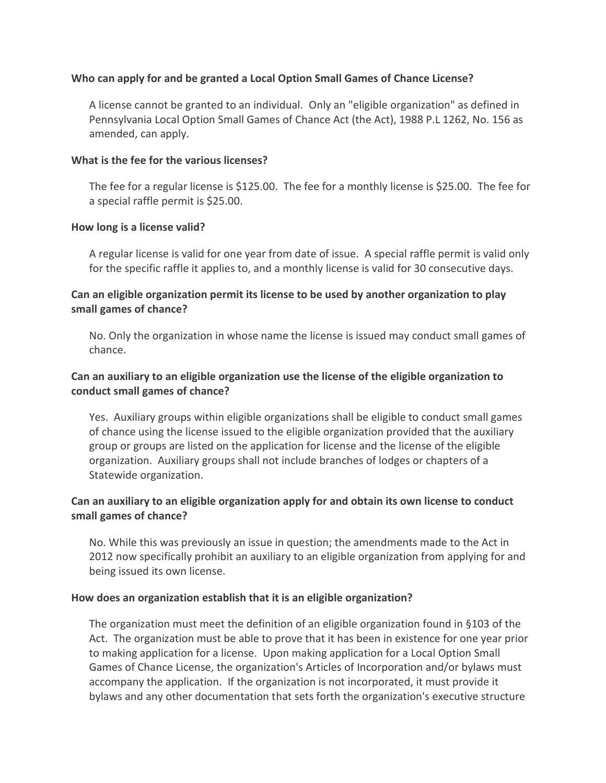#### **Who can apply for and be granted a Local Option Small Games of Chance License?**

A license cannot be granted to an individual. Only an "eligible organization" as defined in Pennsylvania Local Option Small Games of Chance Act (the Act), 1988 P.L 1262, No. 156 as amended, can apply.

#### **What is the fee for the various licenses?**

The fee for a regular license is \$125.00. The fee for a monthly license is \$25.00. The fee for a special raffle permit is \$25.00.

#### **How long is a license valid?**

A regular license is valid for one year from date of issue. A special raffle permit is valid only for the specific raffle it applies to, and a monthly license is valid for 30 consecutive days.

## **Can an eligible organization permit its license to be used by another organization to play small games of chance?**

No. Only the organization in whose name the license is issued may conduct small games of chance.

## **Can an auxiliary to an eligible organization use the license of the eligible organization to conduct small games of chance?**

Yes. Auxiliary groups within eligible organizations shall be eligible to conduct small games of chance using the license issued to the eligible organization provided that the auxiliary group or groups are listed on the application for license and the license of the eligible organization. Auxiliary groups shall not include branches of lodges or chapters of a Statewide organization.

## **Can an auxiliary to an eligible organization apply for and obtain its own license to conduct small games of chance?**

No. While this was previously an issue in question; the amendments made to the Act in 2012 now specifically prohibit an auxiliary to an eligible organization from applying for and being issued its own license.

#### **How does an organization establish that it is an eligible organization?**

The organization must meet the definition of an eligible organization found in §103 of the Act. The organization must be able to prove that it has been in existence for one year prior to making application for a license. Upon making application for a Local Option Small Games of Chance License, the organization's Articles of Incorporation and/or bylaws must accompany the application. If the organization is not incorporated, it must provide it bylaws and any other documentation that sets forth the organization's executive structure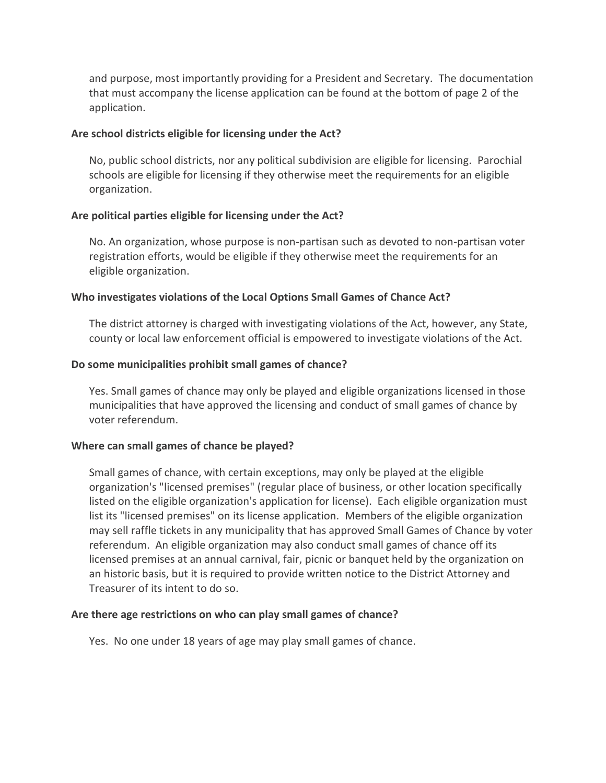and purpose, most importantly providing for a President and Secretary. The documentation that must accompany the license application can be found at the bottom of page 2 of the application.

#### **Are school districts eligible for licensing under the Act?**

No, public school districts, nor any political subdivision are eligible for licensing. Parochial schools are eligible for licensing if they otherwise meet the requirements for an eligible organization.

## **Are political parties eligible for licensing under the Act?**

No. An organization, whose purpose is non-partisan such as devoted to non-partisan voter registration efforts, would be eligible if they otherwise meet the requirements for an eligible organization.

## **Who investigates violations of the Local Options Small Games of Chance Act?**

The district attorney is charged with investigating violations of the Act, however, any State, county or local law enforcement official is empowered to investigate violations of the Act.

## **Do some municipalities prohibit small games of chance?**

Yes. Small games of chance may only be played and eligible organizations licensed in those municipalities that have approved the licensing and conduct of small games of chance by voter referendum.

#### **Where can small games of chance be played?**

Small games of chance, with certain exceptions, may only be played at the eligible organization's "licensed premises" (regular place of business, or other location specifically listed on the eligible organization's application for license). Each eligible organization must list its "licensed premises" on its license application. Members of the eligible organization may sell raffle tickets in any municipality that has approved Small Games of Chance by voter referendum. An eligible organization may also conduct small games of chance off its licensed premises at an annual carnival, fair, picnic or banquet held by the organization on an historic basis, but it is required to provide written notice to the District Attorney and Treasurer of its intent to do so.

#### **Are there age restrictions on who can play small games of chance?**

Yes. No one under 18 years of age may play small games of chance.